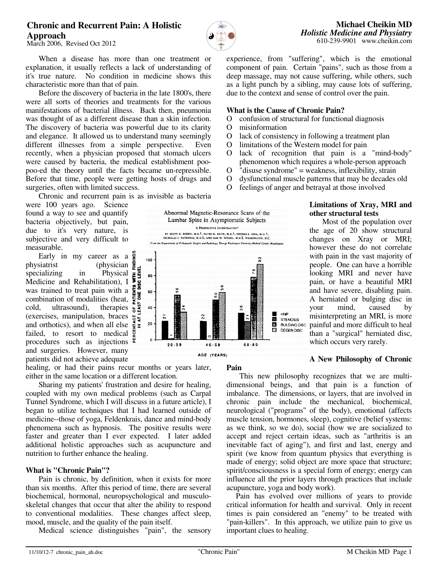# **Chronic and Recurrent Pain: A Holistic Approach**



**Michael Cheikin MD** *Holistic Medicine and Physiatry* 610-239-9901 www.cheikin.com

March 2006, Revised Oct 2012

 When a disease has more than one treatment or explanation, it usually reflects a lack of understanding of it's true nature. No condition in medicine shows this characteristic more than that of pain.

 Before the discovery of bacteria in the late 1800's, there were all sorts of theories and treatments for the various manifestations of bacterial illness. Back then, pneumonia was thought of as a different disease than a skin infection. The discovery of bacteria was powerful due to its clarity and elegance. It allowed us to understand many seemingly different illnesses from a simple perspective. Even recently, when a physician proposed that stomach ulcers were caused by bacteria, the medical establishment poopoo-ed the theory until the facts became un-repressible. Before that time, people were getting hosts of drugs and surgeries, often with limited success.

Chronic and recurrent pain is as invisible as bacteria

were 100 years ago. Science found a way to see and quantify bacteria objectively, but pain, due to it's very nature, is subjective and very difficult to measurable.

 Early in my career as a physiatrist (physician physicializing in Physicial  $\vec{e}$ Medicine and Rehabilitation), I was trained to treat pain with a combination of modalities (heat,  $\frac{5}{8}$  cold, ultrasound), therapies  $\frac{5}{8}$ cold, ultrasound), therapies (exercises, manipulation, braces and orthotics), and when all else  $\frac{3}{2}$ failed, to resort to medical  $\frac{m}{6}$ procedures such as injections  $\frac{a}{b}$ and surgeries. However, many patients did not achieve adequate

healing, or had their pains recur months or years later, either in the same location or a different location.

 Sharing my patients' frustration and desire for healing, coupled with my own medical problems (such as Carpal Tunnel Syndrome, which I will discuss in a future article), I began to utilize techniques that I had learned outside of medicine--those of yoga, Feldenkrais, dance and mind-body phenomena such as hypnosis. The positive results were faster and greater than I ever expected. I later added additional holistic approaches such as acupuncture and nutrition to further enhance the healing.

#### **What is "Chronic Pain"?**

 Pain is chronic, by definition, when it exists for more than six months. After this period of time, there are several biochemical, hormonal, neuropsychological and musculoskeletal changes that occur that alter the ability to respond to conventional modalities. These changes affect sleep, mood, muscle, and the quality of the pain itself.

Medical science distinguishes "pain", the sensory

experience, from "suffering", which is the emotional component of pain. Certain "pains", such as those from a deep massage, may not cause suffering, while others, such as a light punch by a sibling, may cause lots of suffering, due to the context and sense of control over the pain.

#### **What is the Cause of Chronic Pain?**

- O confusion of structural for functional diagnosis
- O misinformation
- O lack of consistency in following a treatment plan
- O limitations of the Western model for pain
- O lack of recognition that pain is a "mind-body" phenomenon which requires a whole-person approach
- O "disuse syndrome" = weakness, inflexibility, strain
- O dysfunctional muscle patterns that may be decades old
- O feelings of anger and betrayal at those involved



**Pain**

## **Limitations of Xray, MRI and other structural tests**

 Most of the population over the age of 20 show structural changes on Xray or MRI; however these do not correlate with pain in the vast majority of people. One can have a horrible looking MRI and never have pain, or have a beautiful MRI and have severe, disabling pain. A herniated or bulging disc in your mind, caused by misinterpreting an MRI, is more painful and more difficult to heal than a "surgical" herniated disc, which occurs very rarely.

# **A New Philosophy of Chronic**

 This new philosophy recognizes that we are multidimensional beings, and that pain is a function of imbalance. The dimensions, or layers, that are involved in chronic pain include the mechanical, biochemical, neurological ("programs" of the body), emotional (affects muscle tension, hormones, sleep), cognitive (belief systems: as we think, so we do), social (how we are socialized to accept and reject certain ideas, such as "arthritis is an inevitable fact of aging"), and first and last, energy and spirit (we know from quantum physics that everything is made of energy; solid object are more space that structure; spirit/consciousness is a special form of energy; energy can influence all the prior layers through practices that include acupuncture, yoga and body work).

 Pain has evolved over millions of years to provide critical information for health and survival. Only in recent times is pain considered an "enemy" to be treated with "pain-killers". In this approach, we utilize pain to give us important clues to healing.